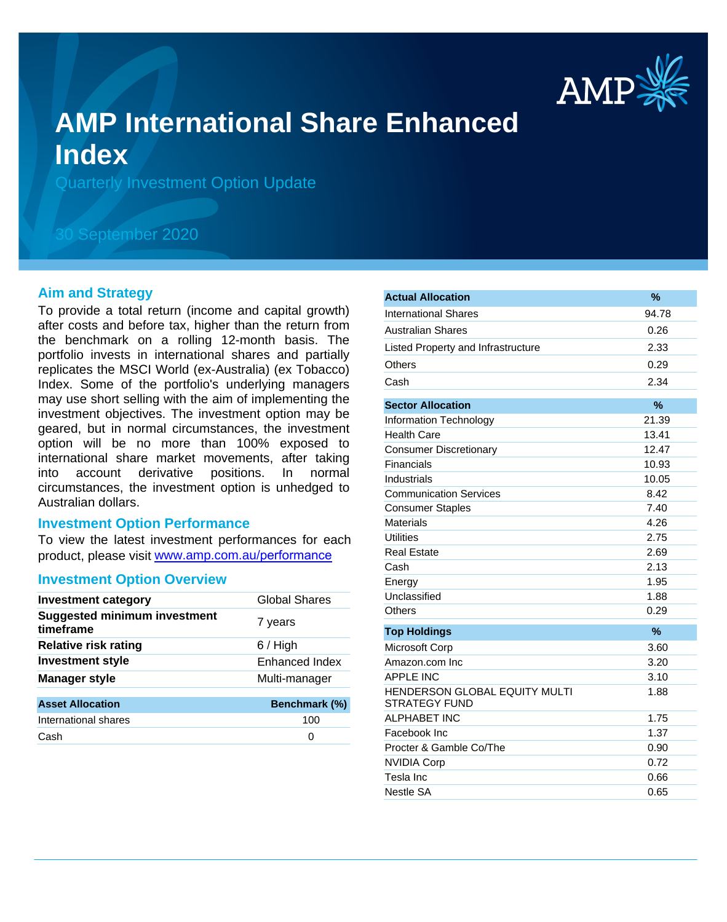

# **AMP International Share Enhanced Index**

Quarterly Investment Option Update

# 30 September 2020

## **Aim and Strategy**

To provide a total return (income and capital growth) after costs and before tax, higher than the return from the benchmark on a rolling 12-month basis. The portfolio invests in international shares and partially replicates the MSCI World (ex-Australia) (ex Tobacco) Index. Some of the portfolio's underlying managers may use short selling with the aim of implementing the investment objectives. The investment option may be geared, but in normal circumstances, the investment option will be no more than 100% exposed to international share market movements, after taking into account derivative positions. In normal circumstances, the investment option is unhedged to Australian dollars.

## **Investment Option Performance**

To view the latest investment performances for each product, please visit www.amp.com.au/performance

## **Investment Option Overview**

| <b>Investment category</b>                       | Global Shares  |
|--------------------------------------------------|----------------|
| <b>Suggested minimum investment</b><br>timeframe | 7 years        |
| <b>Relative risk rating</b>                      | $6/$ High      |
| <b>Investment style</b>                          | Enhanced Index |
| <b>Manager style</b>                             | Multi-manager  |
| <b>Asset Allocation</b>                          | Benchmark (%)  |
| International shares                             | 100            |
| Cash                                             | 0              |
|                                                  |                |

| <b>Actual Allocation</b>                              | %             |
|-------------------------------------------------------|---------------|
| <b>International Shares</b>                           | 94.78         |
| <b>Australian Shares</b>                              | 0.26          |
| Listed Property and Infrastructure                    | 2.33          |
| <b>Others</b>                                         | 0.29          |
| Cash                                                  | 2.34          |
| <b>Sector Allocation</b>                              | $\frac{9}{6}$ |
| <b>Information Technology</b>                         | 21.39         |
| <b>Health Care</b>                                    | 13.41         |
| <b>Consumer Discretionary</b>                         | 12.47         |
| Financials                                            | 10.93         |
| Industrials                                           | 10.05         |
| <b>Communication Services</b>                         | 8.42          |
| <b>Consumer Staples</b>                               | 7.40          |
| <b>Materials</b>                                      | 4.26          |
| Utilities                                             | 2.75          |
| <b>Real Estate</b>                                    | 2.69          |
| Cash                                                  | 2.13          |
| Energy                                                | 1.95          |
| Unclassified                                          | 1.88          |
| Others                                                | 0.29          |
| <b>Top Holdings</b>                                   | $\%$          |
| Microsoft Corp                                        | 3.60          |
| Amazon.com Inc.                                       | 3.20          |
| <b>APPLE INC</b>                                      | 3.10          |
| HENDERSON GLOBAL EQUITY MULTI<br><b>STRATEGY FUND</b> | 1.88          |
| <b>ALPHABET INC</b>                                   | 1.75          |
| Facebook Inc                                          | 1.37          |
| Procter & Gamble Co/The                               | 0.90          |
| <b>NVIDIA Corp</b>                                    | 0.72          |
| Tesla Inc                                             | 0.66          |
| <b>Nestle SA</b>                                      | 0.65          |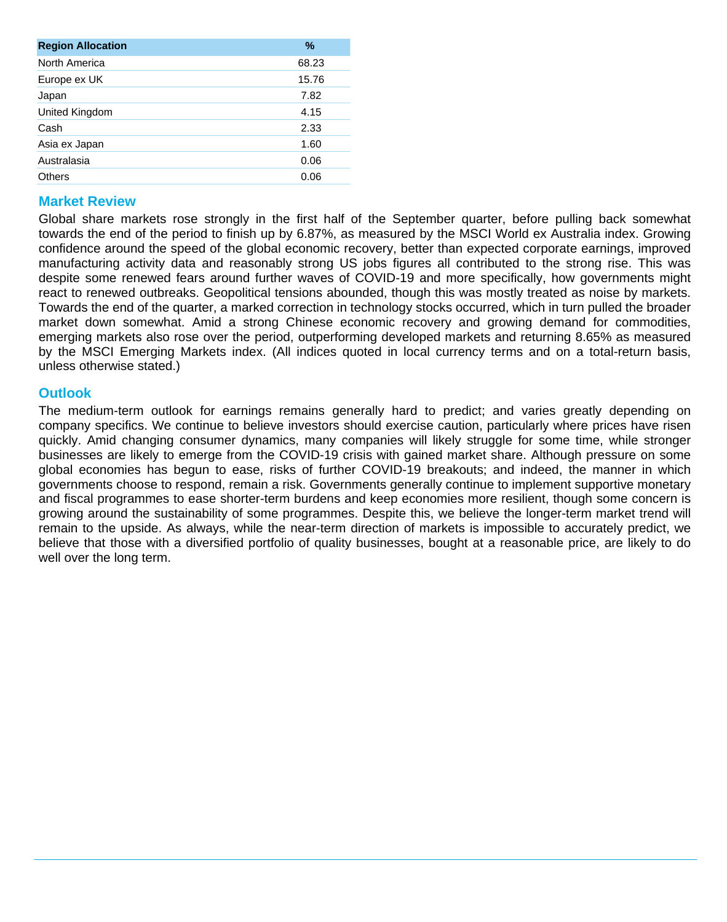| <b>Region Allocation</b> | %     |
|--------------------------|-------|
| North America            | 68.23 |
| Europe ex UK             | 15.76 |
| Japan                    | 7.82  |
| United Kingdom           | 4.15  |
| Cash                     | 2.33  |
| Asia ex Japan            | 1.60  |
| Australasia              | 0.06  |
| Others                   | 0.06  |
|                          |       |

# **Market Review**

Global share markets rose strongly in the first half of the September quarter, before pulling back somewhat towards the end of the period to finish up by 6.87%, as measured by the MSCI World ex Australia index. Growing confidence around the speed of the global economic recovery, better than expected corporate earnings, improved manufacturing activity data and reasonably strong US jobs figures all contributed to the strong rise. This was despite some renewed fears around further waves of COVID-19 and more specifically, how governments might react to renewed outbreaks. Geopolitical tensions abounded, though this was mostly treated as noise by markets. Towards the end of the quarter, a marked correction in technology stocks occurred, which in turn pulled the broader market down somewhat. Amid a strong Chinese economic recovery and growing demand for commodities, emerging markets also rose over the period, outperforming developed markets and returning 8.65% as measured by the MSCI Emerging Markets index. (All indices quoted in local currency terms and on a total-return basis, unless otherwise stated.)

# **Outlook**

The medium-term outlook for earnings remains generally hard to predict; and varies greatly depending on company specifics. We continue to believe investors should exercise caution, particularly where prices have risen quickly. Amid changing consumer dynamics, many companies will likely struggle for some time, while stronger businesses are likely to emerge from the COVID-19 crisis with gained market share. Although pressure on some global economies has begun to ease, risks of further COVID-19 breakouts; and indeed, the manner in which governments choose to respond, remain a risk. Governments generally continue to implement supportive monetary and fiscal programmes to ease shorter-term burdens and keep economies more resilient, though some concern is growing around the sustainability of some programmes. Despite this, we believe the longer-term market trend will remain to the upside. As always, while the near-term direction of markets is impossible to accurately predict, we believe that those with a diversified portfolio of quality businesses, bought at a reasonable price, are likely to do well over the long term.